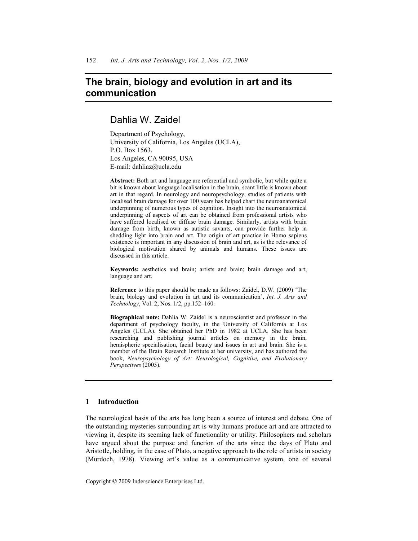# **The brain, biology and evolution in art and its communication**

## Dahlia W. Zaidel

Department of Psychology, University of California, Los Angeles (UCLA), P.O. Box 1563, Los Angeles, CA 90095, USA E-mail: dahliaz@ucla.edu

**Abstract:** Both art and language are referential and symbolic, but while quite a bit is known about language localisation in the brain, scant little is known about art in that regard. In neurology and neuropsychology, studies of patients with localised brain damage for over 100 years has helped chart the neuroanatomical underpinning of numerous types of cognition. Insight into the neuroanatomical underpinning of aspects of art can be obtained from professional artists who have suffered localised or diffuse brain damage. Similarly, artists with brain damage from birth, known as autistic savants, can provide further help in shedding light into brain and art. The origin of art practice in Homo sapiens existence is important in any discussion of brain and art, as is the relevance of biological motivation shared by animals and humans. These issues are discussed in this article.

**Keywords:** aesthetics and brain; artists and brain; brain damage and art; language and art.

**Reference** to this paper should be made as follows: Zaidel, D.W. (2009) 'The brain, biology and evolution in art and its communication', *Int. J. Arts and Technology*, Vol. 2, Nos. 1/2, pp.152–160.

**Biographical note:** Dahlia W. Zaidel is a neuroscientist and professor in the department of psychology faculty, in the University of California at Los Angeles (UCLA). She obtained her PhD in 1982 at UCLA. She has been researching and publishing journal articles on memory in the brain, hemispheric specialisation, facial beauty and issues in art and brain. She is a member of the Brain Research Institute at her university, and has authored the book, *Neuropsychology of Art: Neurological, Cognitive, and Evolutionary Perspectives* (2005).

## **1 Introduction**

The neurological basis of the arts has long been a source of interest and debate. One of the outstanding mysteries surrounding art is why humans produce art and are attracted to viewing it, despite its seeming lack of functionality or utility. Philosophers and scholars have argued about the purpose and function of the arts since the days of Plato and Aristotle, holding, in the case of Plato, a negative approach to the role of artists in society (Murdoch, 1978). Viewing art's value as a communicative system, one of several

Copyright © 2009 Inderscience Enterprises Ltd.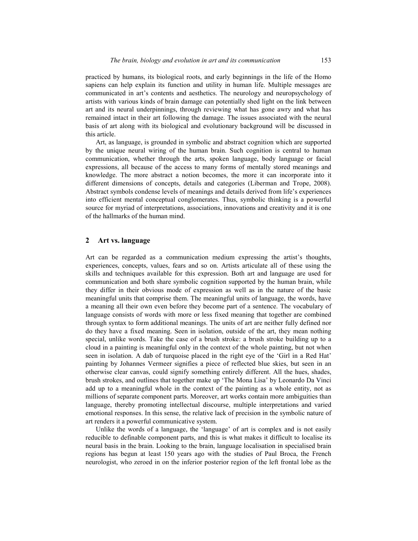practiced by humans, its biological roots, and early beginnings in the life of the Homo sapiens can help explain its function and utility in human life. Multiple messages are communicated in art's contents and aesthetics. The neurology and neuropsychology of artists with various kinds of brain damage can potentially shed light on the link between art and its neural underpinnings, through reviewing what has gone awry and what has remained intact in their art following the damage. The issues associated with the neural basis of art along with its biological and evolutionary background will be discussed in this article.

Art, as language, is grounded in symbolic and abstract cognition which are supported by the unique neural wiring of the human brain. Such cognition is central to human communication, whether through the arts, spoken language, body language or facial expressions, all because of the access to many forms of mentally stored meanings and knowledge. The more abstract a notion becomes, the more it can incorporate into it different dimensions of concepts, details and categories (Liberman and Trope, 2008). Abstract symbols condense levels of meanings and details derived from life's experiences into efficient mental conceptual conglomerates. Thus, symbolic thinking is a powerful source for myriad of interpretations, associations, innovations and creativity and it is one of the hallmarks of the human mind.

### **2 Art vs. language**

Art can be regarded as a communication medium expressing the artist's thoughts, experiences, concepts, values, fears and so on. Artists articulate all of these using the skills and techniques available for this expression. Both art and language are used for communication and both share symbolic cognition supported by the human brain, while they differ in their obvious mode of expression as well as in the nature of the basic meaningful units that comprise them. The meaningful units of language, the words, have a meaning all their own even before they become part of a sentence. The vocabulary of language consists of words with more or less fixed meaning that together are combined through syntax to form additional meanings. The units of art are neither fully defined nor do they have a fixed meaning. Seen in isolation, outside of the art, they mean nothing special, unlike words. Take the case of a brush stroke: a brush stroke building up to a cloud in a painting is meaningful only in the context of the whole painting, but not when seen in isolation. A dab of turquoise placed in the right eye of the 'Girl in a Red Hat' painting by Johannes Vermeer signifies a piece of reflected blue skies, but seen in an otherwise clear canvas, could signify something entirely different. All the hues, shades, brush strokes, and outlines that together make up 'The Mona Lisa' by Leonardo Da Vinci add up to a meaningful whole in the context of the painting as a whole entity, not as millions of separate component parts. Moreover, art works contain more ambiguities than language, thereby promoting intellectual discourse, multiple interpretations and varied emotional responses. In this sense, the relative lack of precision in the symbolic nature of art renders it a powerful communicative system.

Unlike the words of a language, the 'language' of art is complex and is not easily reducible to definable component parts, and this is what makes it difficult to localise its neural basis in the brain. Looking to the brain, language localisation in specialised brain regions has begun at least 150 years ago with the studies of Paul Broca, the French neurologist, who zeroed in on the inferior posterior region of the left frontal lobe as the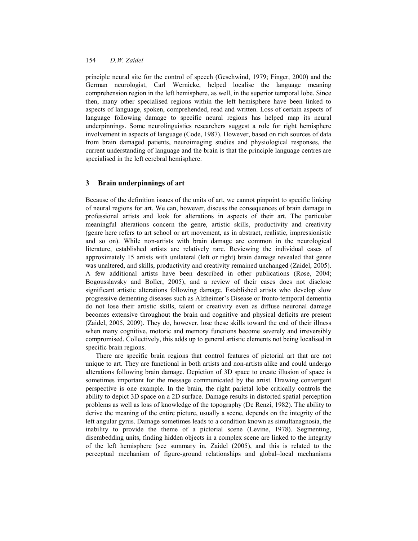principle neural site for the control of speech (Geschwind, 1979; Finger, 2000) and the German neurologist, Carl Wernicke, helped localise the language meaning comprehension region in the left hemisphere, as well, in the superior temporal lobe. Since then, many other specialised regions within the left hemisphere have been linked to aspects of language, spoken, comprehended, read and written. Loss of certain aspects of language following damage to specific neural regions has helped map its neural underpinnings. Some neurolinguistics researchers suggest a role for right hemisphere involvement in aspects of language (Code, 1987). However, based on rich sources of data from brain damaged patients, neuroimaging studies and physiological responses, the current understanding of language and the brain is that the principle language centres are specialised in the left cerebral hemisphere.

### **3 Brain underpinnings of art**

Because of the definition issues of the units of art, we cannot pinpoint to specific linking of neural regions for art. We can, however, discuss the consequences of brain damage in professional artists and look for alterations in aspects of their art. The particular meaningful alterations concern the genre, artistic skills, productivity and creativity (genre here refers to art school or art movement, as in abstract, realistic, impressionistic and so on). While non-artists with brain damage are common in the neurological literature, established artists are relatively rare. Reviewing the individual cases of approximately 15 artists with unilateral (left or right) brain damage revealed that genre was unaltered, and skills, productivity and creativity remained unchanged (Zaidel, 2005). A few additional artists have been described in other publications (Rose, 2004; Bogousslavsky and Boller, 2005), and a review of their cases does not disclose significant artistic alterations following damage. Established artists who develop slow progressive dementing diseases such as Alzheimer's Disease or fronto-temporal dementia do not lose their artistic skills, talent or creativity even as diffuse neuronal damage becomes extensive throughout the brain and cognitive and physical deficits are present (Zaidel, 2005, 2009). They do, however, lose these skills toward the end of their illness when many cognitive, motoric and memory functions become severely and irreversibly compromised. Collectively, this adds up to general artistic elements not being localised in specific brain regions.

There are specific brain regions that control features of pictorial art that are not unique to art. They are functional in both artists and non-artists alike and could undergo alterations following brain damage. Depiction of 3D space to create illusion of space is sometimes important for the message communicated by the artist. Drawing convergent perspective is one example. In the brain, the right parietal lobe critically controls the ability to depict 3D space on a 2D surface. Damage results in distorted spatial perception problems as well as loss of knowledge of the topography (De Renzi, 1982). The ability to derive the meaning of the entire picture, usually a scene, depends on the integrity of the left angular gyrus. Damage sometimes leads to a condition known as simultanagnosia, the inability to provide the theme of a pictorial scene (Levine, 1978). Segmenting, disembedding units, finding hidden objects in a complex scene are linked to the integrity of the left hemisphere (see summary in, Zaidel (2005), and this is related to the perceptual mechanism of figure-ground relationships and global–local mechanisms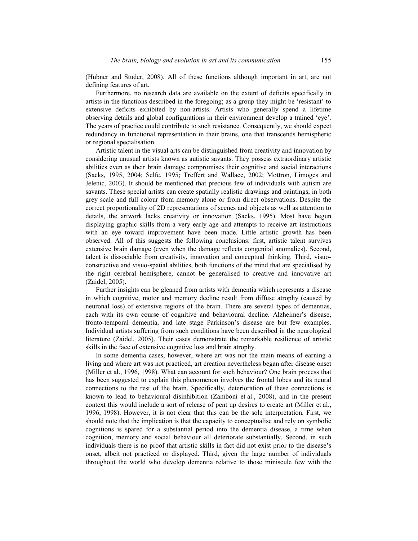(Hubner and Studer, 2008). All of these functions although important in art, are not defining features of art.

Furthermore, no research data are available on the extent of deficits specifically in artists in the functions described in the foregoing; as a group they might be 'resistant' to extensive deficits exhibited by non-artists. Artists who generally spend a lifetime observing details and global configurations in their environment develop a trained 'eye'. The years of practice could contribute to such resistance. Consequently, we should expect redundancy in functional representation in their brains, one that transcends hemispheric or regional specialisation.

Artistic talent in the visual arts can be distinguished from creativity and innovation by considering unusual artists known as autistic savants. They possess extraordinary artistic abilities even as their brain damage compromises their cognitive and social interactions (Sacks, 1995, 2004; Selfe, 1995; Treffert and Wallace, 2002; Mottron, Limoges and Jelenic, 2003). It should be mentioned that precious few of individuals with autism are savants. These special artists can create spatially realistic drawings and paintings, in both grey scale and full colour from memory alone or from direct observations. Despite the correct proportionality of 2D representations of scenes and objects as well as attention to details, the artwork lacks creativity or innovation (Sacks, 1995). Most have begun displaying graphic skills from a very early age and attempts to receive art instructions with an eye toward improvement have been made. Little artistic growth has been observed. All of this suggests the following conclusions: first, artistic talent survives extensive brain damage (even when the damage reflects congenital anomalies). Second, talent is dissociable from creativity, innovation and conceptual thinking. Third, visuoconstructive and visuo-spatial abilities, both functions of the mind that are specialised by the right cerebral hemisphere, cannot be generalised to creative and innovative art (Zaidel, 2005).

Further insights can be gleaned from artists with dementia which represents a disease in which cognitive, motor and memory decline result from diffuse atrophy (caused by neuronal loss) of extensive regions of the brain. There are several types of dementias, each with its own course of cognitive and behavioural decline. Alzheimer's disease, fronto-temporal dementia, and late stage Parkinson's disease are but few examples. Individual artists suffering from such conditions have been described in the neurological literature (Zaidel, 2005). Their cases demonstrate the remarkable resilience of artistic skills in the face of extensive cognitive loss and brain atrophy.

In some dementia cases, however, where art was not the main means of earning a living and where art was not practiced, art creation nevertheless began after disease onset (Miller et al., 1996, 1998). What can account for such behaviour? One brain process that has been suggested to explain this phenomenon involves the frontal lobes and its neural connections to the rest of the brain. Specifically, deterioration of these connections is known to lead to behavioural disinhibition (Zamboni et al., 2008), and in the present context this would include a sort of release of pent up desires to create art (Miller et al., 1996, 1998). However, it is not clear that this can be the sole interpretation. First, we should note that the implication is that the capacity to conceptualise and rely on symbolic cognitions is spared for a substantial period into the dementia disease, a time when cognition, memory and social behaviour all deteriorate substantially. Second, in such individuals there is no proof that artistic skills in fact did not exist prior to the disease's onset, albeit not practiced or displayed. Third, given the large number of individuals throughout the world who develop dementia relative to those miniscule few with the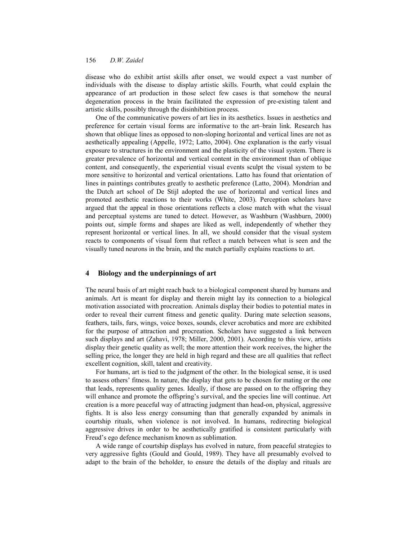disease who do exhibit artist skills after onset, we would expect a vast number of individuals with the disease to display artistic skills. Fourth, what could explain the appearance of art production in those select few cases is that somehow the neural degeneration process in the brain facilitated the expression of pre-existing talent and artistic skills, possibly through the disinhibition process.

One of the communicative powers of art lies in its aesthetics. Issues in aesthetics and preference for certain visual forms are informative to the art–brain link. Research has shown that oblique lines as opposed to non-sloping horizontal and vertical lines are not as aesthetically appealing (Appelle, 1972; Latto, 2004). One explanation is the early visual exposure to structures in the environment and the plasticity of the visual system. There is greater prevalence of horizontal and vertical content in the environment than of oblique content, and consequently, the experiential visual events sculpt the visual system to be more sensitive to horizontal and vertical orientations. Latto has found that orientation of lines in paintings contributes greatly to aesthetic preference (Latto, 2004). Mondrian and the Dutch art school of De Stijl adopted the use of horizontal and vertical lines and promoted aesthetic reactions to their works (White, 2003). Perception scholars have argued that the appeal in those orientations reflects a close match with what the visual and perceptual systems are tuned to detect. However, as Washburn (Washburn, 2000) points out, simple forms and shapes are liked as well, independently of whether they represent horizontal or vertical lines. In all, we should consider that the visual system reacts to components of visual form that reflect a match between what is seen and the visually tuned neurons in the brain, and the match partially explains reactions to art.

## **4 Biology and the underpinnings of art**

The neural basis of art might reach back to a biological component shared by humans and animals. Art is meant for display and therein might lay its connection to a biological motivation associated with procreation. Animals display their bodies to potential mates in order to reveal their current fitness and genetic quality. During mate selection seasons, feathers, tails, furs, wings, voice boxes, sounds, clever acrobatics and more are exhibited for the purpose of attraction and procreation. Scholars have suggested a link between such displays and art (Zahavi, 1978; Miller, 2000, 2001). According to this view, artists display their genetic quality as well; the more attention their work receives, the higher the selling price, the longer they are held in high regard and these are all qualities that reflect excellent cognition, skill, talent and creativity.

For humans, art is tied to the judgment of the other. In the biological sense, it is used to assess others' fitness. In nature, the display that gets to be chosen for mating or the one that leads, represents quality genes. Ideally, if those are passed on to the offspring they will enhance and promote the offspring's survival, and the species line will continue. Art creation is a more peaceful way of attracting judgment than head-on, physical, aggressive fights. It is also less energy consuming than that generally expanded by animals in courtship rituals, when violence is not involved. In humans, redirecting biological aggressive drives in order to be aesthetically gratified is consistent particularly with Freud's ego defence mechanism known as sublimation.

A wide range of courtship displays has evolved in nature, from peaceful strategies to very aggressive fights (Gould and Gould, 1989). They have all presumably evolved to adapt to the brain of the beholder, to ensure the details of the display and rituals are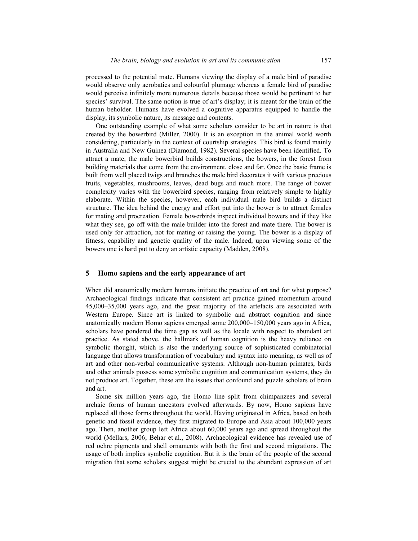processed to the potential mate. Humans viewing the display of a male bird of paradise would observe only acrobatics and colourful plumage whereas a female bird of paradise would perceive infinitely more numerous details because those would be pertinent to her species' survival. The same notion is true of art's display; it is meant for the brain of the human beholder. Humans have evolved a cognitive apparatus equipped to handle the display, its symbolic nature, its message and contents.

One outstanding example of what some scholars consider to be art in nature is that created by the bowerbird (Miller, 2000). It is an exception in the animal world worth considering, particularly in the context of courtship strategies. This bird is found mainly in Australia and New Guinea (Diamond, 1982). Several species have been identified. To attract a mate, the male bowerbird builds constructions, the bowers, in the forest from building materials that come from the environment, close and far. Once the basic frame is built from well placed twigs and branches the male bird decorates it with various precious fruits, vegetables, mushrooms, leaves, dead bugs and much more. The range of bower complexity varies with the bowerbird species, ranging from relatively simple to highly elaborate. Within the species, however, each individual male bird builds a distinct structure. The idea behind the energy and effort put into the bower is to attract females for mating and procreation. Female bowerbirds inspect individual bowers and if they like what they see, go off with the male builder into the forest and mate there. The bower is used only for attraction, not for mating or raising the young. The bower is a display of fitness, capability and genetic quality of the male. Indeed, upon viewing some of the bowers one is hard put to deny an artistic capacity (Madden, 2008).

#### **5 Homo sapiens and the early appearance of art**

When did anatomically modern humans initiate the practice of art and for what purpose? Archaeological findings indicate that consistent art practice gained momentum around 45,000–35,000 years ago, and the great majority of the artefacts are associated with Western Europe. Since art is linked to symbolic and abstract cognition and since anatomically modern Homo sapiens emerged some 200,000–150,000 years ago in Africa, scholars have pondered the time gap as well as the locale with respect to abundant art practice. As stated above, the hallmark of human cognition is the heavy reliance on symbolic thought, which is also the underlying source of sophisticated combinatorial language that allows transformation of vocabulary and syntax into meaning, as well as of art and other non-verbal communicative systems. Although non-human primates, birds and other animals possess some symbolic cognition and communication systems, they do not produce art. Together, these are the issues that confound and puzzle scholars of brain and art.

Some six million years ago, the Homo line split from chimpanzees and several archaic forms of human ancestors evolved afterwards. By now, Homo sapiens have replaced all those forms throughout the world. Having originated in Africa, based on both genetic and fossil evidence, they first migrated to Europe and Asia about 100,000 years ago. Then, another group left Africa about 60,000 years ago and spread throughout the world (Mellars, 2006; Behar et al., 2008). Archaeological evidence has revealed use of red ochre pigments and shell ornaments with both the first and second migrations. The usage of both implies symbolic cognition. But it is the brain of the people of the second migration that some scholars suggest might be crucial to the abundant expression of art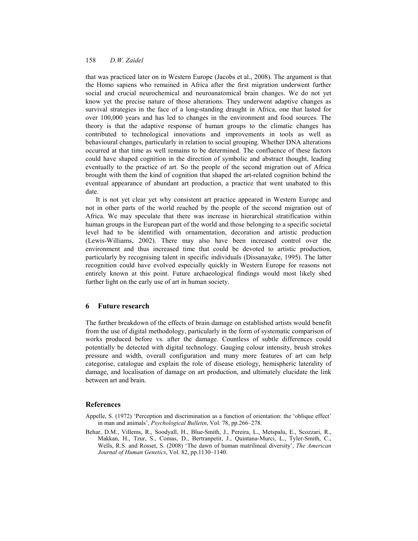that was practiced later on in Western Europe (Jacobs et al., 2008). The argument is that the Homo sapiens who remained in Africa after the first migration underwent further social and crucial neurochemical and neuroanatomical brain changes. We do not yet know yet the precise nature of those alterations. They underwent adaptive changes as survival strategies in the face of a long-standing draught in Africa, one that lasted for over 100,000 years and has led to changes in the environment and food sources. The theory is that the adaptive response of human groups to the climatic changes has contributed to technological innovations and improvements in tools as well as behavioural changes, particularly in relation to social grouping. Whether DNA alterations occurred at that time as well remains to be determined. The confluence of these factors could have shaped cognition in the direction of symbolic and abstract thought, leading eventually to the practice of art. So the people of the second migration out of Africa brought with them the kind of cognition that shaped the art-related cognition behind the eventual appearance of abundant art production, a practice that went unabated to this date.

It is not yet clear yet why consistent art practice appeared in Western Europe and not in other parts of the world reached by the people of the second migration out of Africa. We may speculate that there was increase in hierarchical stratification within human groups in the European part of the world and those belonging to a specific societal level had to be identified with ornamentation, decoration and artistic production (Lewis-Williams, 2002). There may also have been increased control over the environment and thus increased time that could be devoted to artistic production, particularly by recognising talent in specific individuals (Dissanayake, 1995). The latter recognition could have evolved especially quickly in Western Europe for reasons not entirely known at this point. Future archaeological findings would most likely shed further light on the early use of art in human society.

#### **6 Future research**

The further breakdown of the effects of brain damage on established artists would benefit from the use of digital methodology, particularly in the form of systematic comparison of works produced before vs. after the damage. Countless of subtle differences could potentially be detected with digital technology. Gauging colour intensity, brush strokes pressure and width, overall configuration and many more features of art can help categorise, catalogue and explain the role of disease etiology, hemispheric laterality of damage, and localisation of damage on art production, and ultimately elucidate the link between art and brain.

#### **References**

- Appelle, S. (1972) 'Perception and discrimination as a function of orientation: the 'oblique effect' in man and animals', *Psychological Bulletin*, Vol. 78, pp.266–278.
- Behar, D.M., Villems, R., Soodyall, H., Blue-Smith, J., Pereira, L., Metspalu, E., Scozzari, R., Makkan, H., Tzur, S., Comas, D., Bertranpetit, J., Quintana-Murci, L., Tyler-Smith, C., Wells, R.S. and Rosset, S. (2008) 'The dawn of human matrilineal diversity', *The American Journal of Human Genetics*, Vol. 82, pp.1130–1140.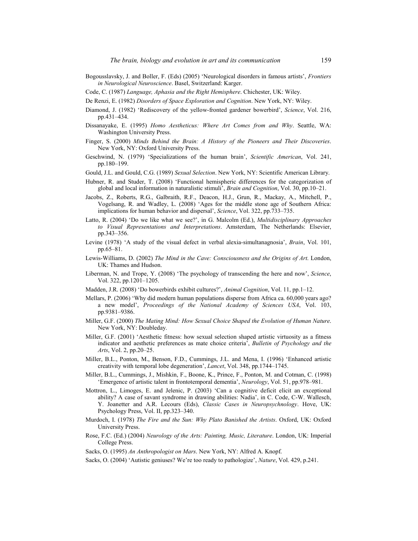- Bogousslavsky, J. and Boller, F. (Eds) (2005) 'Neurological disorders in famous artists', *Frontiers in Neurological Neuroscience*. Basel, Switzerland: Karger.
- Code, C. (1987) *Language, Aphasia and the Right Hemisphere*. Chichester, UK: Wiley.
- De Renzi, E. (1982) *Disorders of Space Exploration and Cognition*. New York, NY: Wiley.
- Diamond, J. (1982) 'Rediscovery of the yellow-fronted gardener bowerbird', *Science*, Vol. 216, pp.431–434.
- Dissanayake, E. (1995) *Homo Aestheticus: Where Art Comes from and Why*. Seattle, WA: Washington University Press.
- Finger, S. (2000) *Minds Behind the Brain: A History of the Pioneers and Their Discoveries*. New York, NY: Oxford University Press.
- Geschwind, N. (1979) 'Specializations of the human brain', *Scientific American*, Vol. 241, pp.180–199.
- Gould, J.L. and Gould, C.G. (1989) *Sexual Selection*. New York, NY: Scientific American Library.
- Hubner, R. and Studer, T. (2008) 'Functional hemispheric differences for the categorization of global and local information in naturalistic stimuli', *Brain and Cognition*, Vol. 30, pp.10–21.
- Jacobs, Z., Roberts, R.G., Galbraith, R.F., Deacon, H.J., Grun, R., Mackay, A., Mitchell, P., Vogelsang, R. and Wadley, L. (2008) 'Ages for the middle stone age of Southern Africa: implications for human behavior and dispersal', *Science*, Vol. 322, pp.733–735.
- Latto, R. (2004) 'Do we like what we see?', in G. Malcolm (Ed.), *Multidisciplinary Approaches to Visual Representations and Interpretations*. Amsterdam, The Netherlands: Elsevier, pp.343–356.
- Levine (1978) 'A study of the visual defect in verbal alexia-simultanagnosia', *Brain*, Vol. 101, pp.65–81.
- Lewis-Williams, D. (2002) *The Mind in the Cave: Consciousness and the Origins of Art*. London, UK: Thames and Hudson.
- Liberman, N. and Trope, Y. (2008) 'The psychology of transcending the here and now', *Science*, Vol. 322, pp.1201–1205.
- Madden, J.R. (2008) 'Do bowerbirds exhibit cultures?', *Animal Cognition*, Vol. 11, pp.1–12.
- Mellars, P. (2006) 'Why did modern human populations disperse from Africa ca. 60,000 years ago? a new model', *Proceedings of the National Academy of Sciences USA*, Vol. 103, pp.9381–9386.
- Miller, G.F. (2000) *The Mating Mind: How Sexual Choice Shaped the Evolution of Human Nature*. New York, NY: Doubleday.
- Miller, G.F. (2001) 'Aesthetic fitness: how sexual selection shaped artistic virtuosity as a fitness indicator and aesthetic preferences as mate choice criteria', *Bulletin of Psychology and the Arts*, Vol. 2, pp.20–25.
- Miller, B.L., Ponton, M., Benson, F.D., Cummings, J.L. and Mena, I. (1996) 'Enhanced artistic creativity with temporal lobe degeneration', *Lancet*, Vol. 348, pp.1744–1745.
- Miller, B.L., Cummings, J., Mishkin, F., Boone, K., Prince, F., Ponton, M. and Cotman, C. (1998) 'Emergence of artistic talent in frontotemporal dementia', *Neurology*, Vol. 51, pp.978–981.
- Mottron, L., Limoges, E. and Jelenic, P. (2003) 'Can a cognitive deficit elicit an exceptional ability? A case of savant syndrome in drawing abilities: Nadia', in C. Code, C-W. Wallesch, Y. Joanetter and A.R. Lecours (Eds), *Classic Cases in Neuropsychnology*. Hove, UK: Psychology Press, Vol. II, pp.323–340.
- Murdoch, I. (1978) *The Fire and the Sun: Why Plato Banished the Artists*. Oxford, UK: Oxford University Press.
- Rose, F.C. (Ed.) (2004) *Neurology of the Arts: Painting, Music, Literature*. London, UK: Imperial College Press.
- Sacks, O. (1995) *An Anthropologist on Mars*. New York, NY: Alfred A. Knopf.
- Sacks, O. (2004) 'Autistic geniuses? We're too ready to pathologize', *Nature*, Vol. 429, p.241.